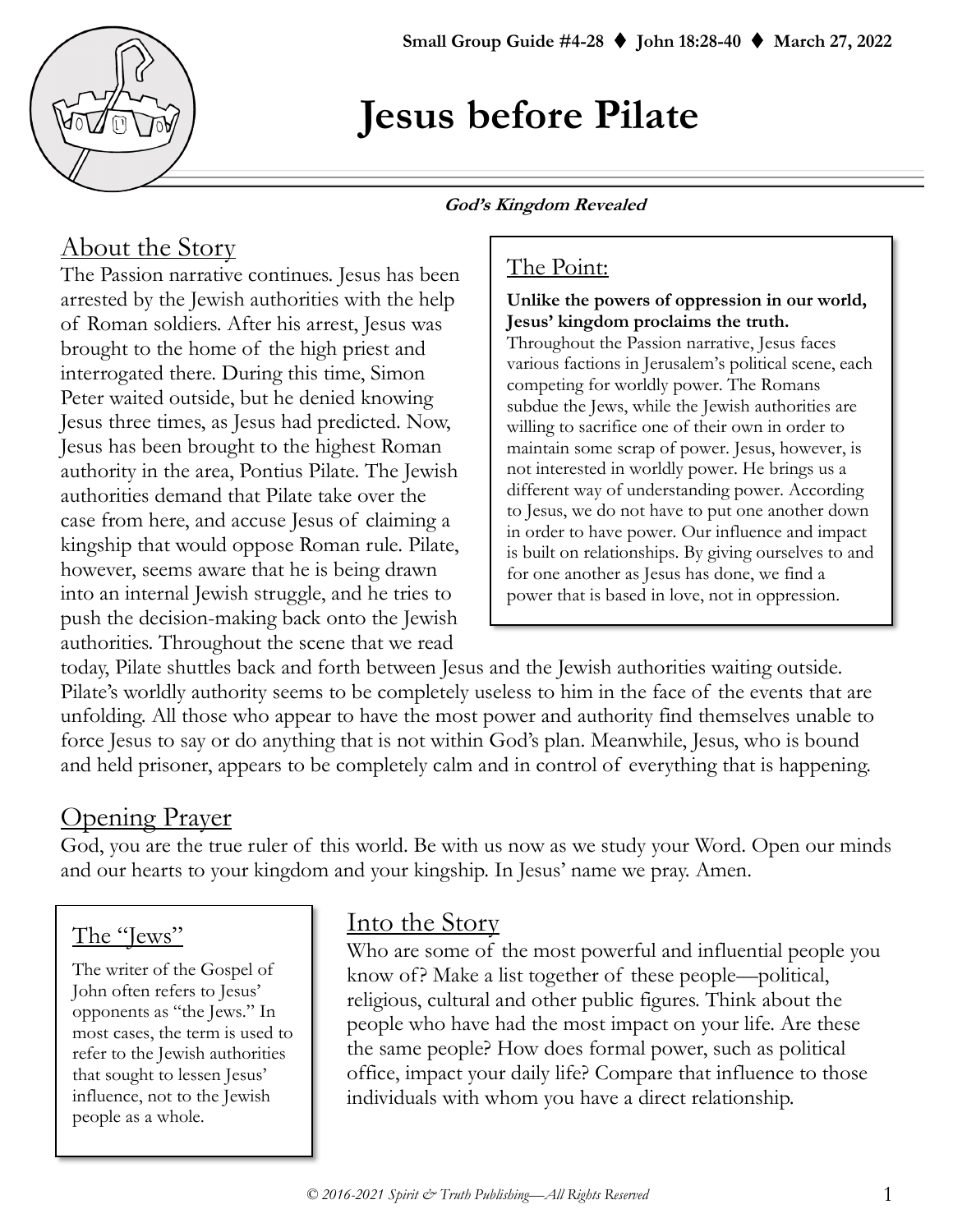

# **Jesus before Pilate**

#### **God's Kingdom Revealed**

# About the Story

The Passion narrative continues. Jesus has been arrested by the Jewish authorities with the help of Roman soldiers. After his arrest, Jesus was brought to the home of the high priest and interrogated there. During this time, Simon Peter waited outside, but he denied knowing Jesus three times, as Jesus had predicted. Now, Jesus has been brought to the highest Roman authority in the area, Pontius Pilate. The Jewish authorities demand that Pilate take over the case from here, and accuse Jesus of claiming a kingship that would oppose Roman rule. Pilate, however, seems aware that he is being drawn into an internal Jewish struggle, and he tries to push the decision-making back onto the Jewish authorities. Throughout the scene that we read

# The Point:

#### **Unlike the powers of oppression in our world, Jesus' kingdom proclaims the truth.**

Throughout the Passion narrative, Jesus faces various factions in Jerusalem's political scene, each competing for worldly power. The Romans subdue the Jews, while the Jewish authorities are willing to sacrifice one of their own in order to maintain some scrap of power. Jesus, however, is not interested in worldly power. He brings us a different way of understanding power. According to Jesus, we do not have to put one another down in order to have power. Our influence and impact is built on relationships. By giving ourselves to and for one another as Jesus has done, we find a power that is based in love, not in oppression.

today, Pilate shuttles back and forth between Jesus and the Jewish authorities waiting outside. Pilate's worldly authority seems to be completely useless to him in the face of the events that are unfolding. All those who appear to have the most power and authority find themselves unable to force Jesus to say or do anything that is not within God's plan. Meanwhile, Jesus, who is bound and held prisoner, appears to be completely calm and in control of everything that is happening.

# Opening Prayer

God, you are the true ruler of this world. Be with us now as we study your Word. Open our minds and our hearts to your kingdom and your kingship. In Jesus' name we pray. Amen.

# The "Jews"

The writer of the Gospel of John often refers to Jesus' opponents as "the Jews." In most cases, the term is used to refer to the Jewish authorities that sought to lessen Jesus' influence, not to the Jewish people as a whole.

## Into the Story

Who are some of the most powerful and influential people you know of? Make a list together of these people—political, religious, cultural and other public figures. Think about the people who have had the most impact on your life. Are these the same people? How does formal power, such as political office, impact your daily life? Compare that influence to those individuals with whom you have a direct relationship.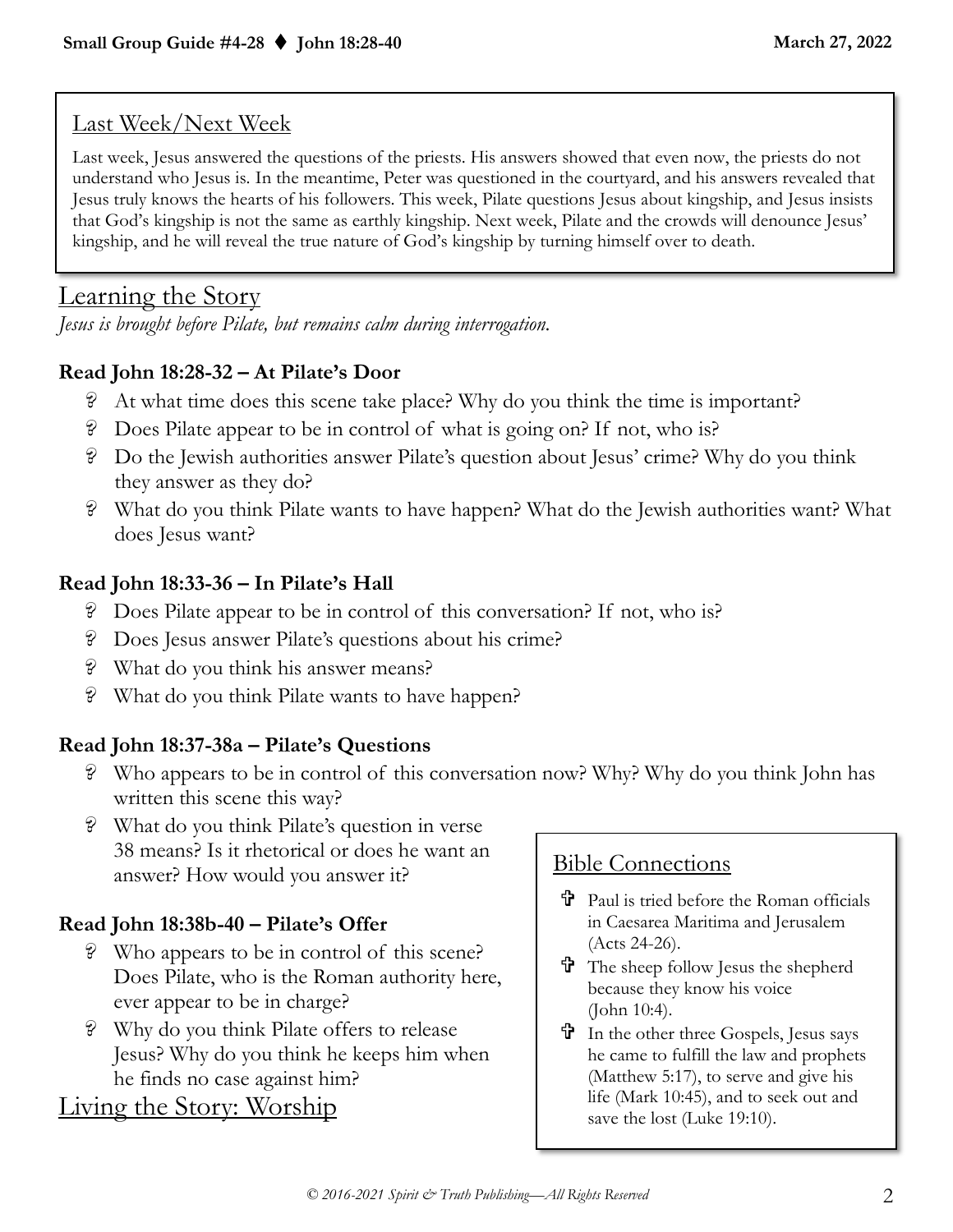## Last Week/Next Week

Last week, Jesus answered the questions of the priests. His answers showed that even now, the priests do not understand who Jesus is. In the meantime, Peter was questioned in the courtyard, and his answers revealed that Jesus truly knows the hearts of his followers. This week, Pilate questions Jesus about kingship, and Jesus insists that God's kingship is not the same as earthly kingship. Next week, Pilate and the crowds will denounce Jesus' kingship, and he will reveal the true nature of God's kingship by turning himself over to death.

# Learning the Story

*Jesus is brought before Pilate, but remains calm during interrogation.*

## **Read John 18:28-32 – At Pilate's Door**

- ? At what time does this scene take place? Why do you think the time is important?
- ? Does Pilate appear to be in control of what is going on? If not, who is?
- ? Do the Jewish authorities answer Pilate's question about Jesus' crime? Why do you think they answer as they do?
- ? What do you think Pilate wants to have happen? What do the Jewish authorities want? What does Jesus want?

## **Read John 18:33-36 – In Pilate's Hall**

- ? Does Pilate appear to be in control of this conversation? If not, who is?
- ? Does Jesus answer Pilate's questions about his crime?
- ? What do you think his answer means?
- ? What do you think Pilate wants to have happen?

## **Read John 18:37-38a – Pilate's Questions**

- ? Who appears to be in control of this conversation now? Why? Why do you think John has written this scene this way?
- ? What do you think Pilate's question in verse 38 means? Is it rhetorical or does he want an answer? How would you answer it?

## **Read John 18:38b-40 – Pilate's Offer**

- ? Who appears to be in control of this scene? Does Pilate, who is the Roman authority here, ever appear to be in charge?
- ? Why do you think Pilate offers to release Jesus? Why do you think he keeps him when he finds no case against him?

# Living the Story: Worship

## Bible Connections

- Paul is tried before the Roman officials in Caesarea Maritima and Jerusalem (Acts 24-26).
- $\mathbf{\hat{T}}$  The sheep follow Jesus the shepherd because they know his voice (John 10:4).
- In the other three Gospels, Jesus says he came to fulfill the law and prophets (Matthew 5:17), to serve and give his life (Mark 10:45), and to seek out and save the lost (Luke 19:10).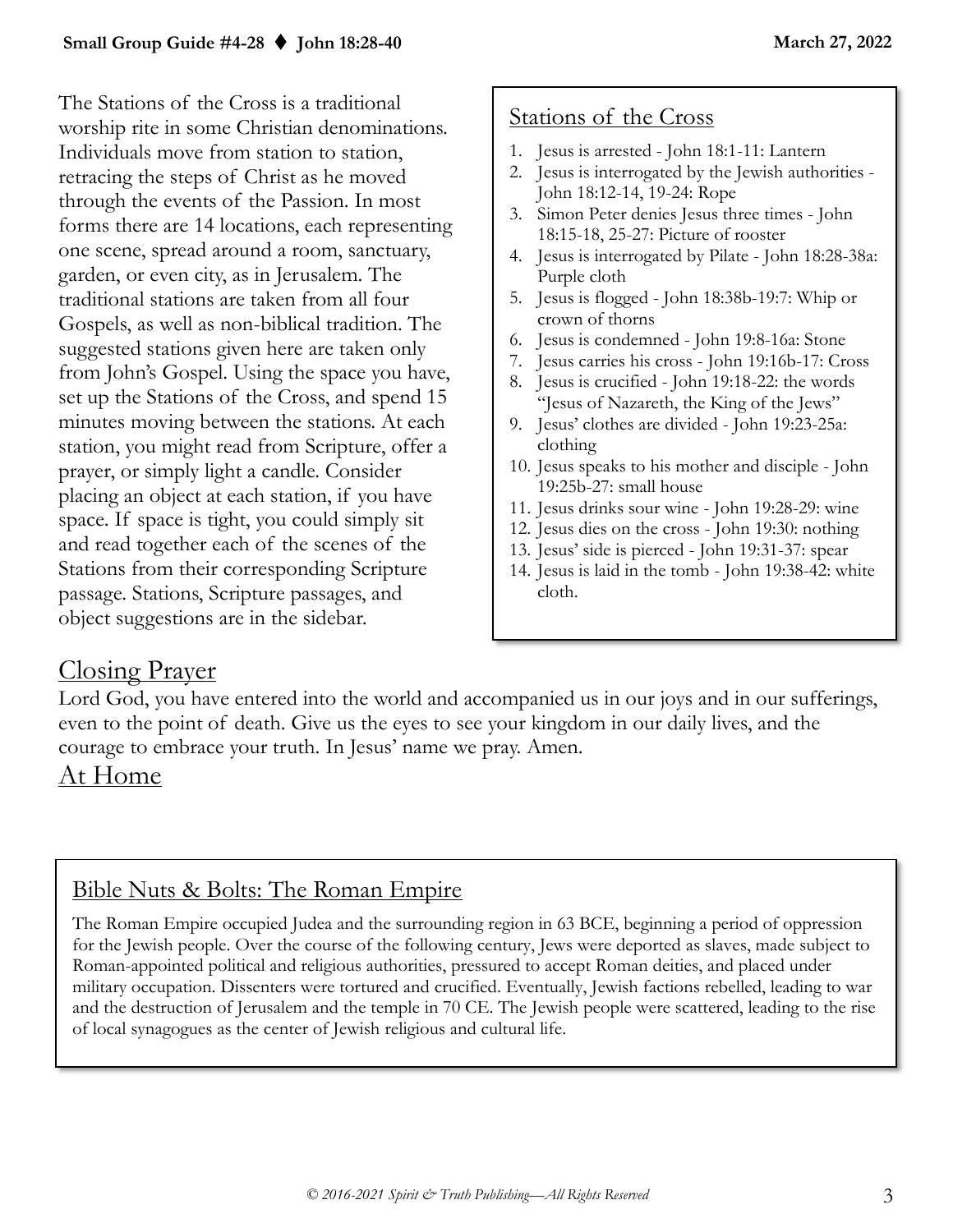The Stations of the Cross is a traditional worship rite in some Christian denominations. Individuals move from station to station, retracing the steps of Christ as he moved through the events of the Passion. In most forms there are 14 locations, each representing one scene, spread around a room, sanctuary, garden, or even city, as in Jerusalem. The traditional stations are taken from all four Gospels, as well as non-biblical tradition. The suggested stations given here are taken only from John's Gospel. Using the space you have, set up the Stations of the Cross, and spend 15 minutes moving between the stations. At each station, you might read from Scripture, offer a prayer, or simply light a candle. Consider placing an object at each station, if you have space. If space is tight, you could simply sit and read together each of the scenes of the Stations from their corresponding Scripture passage. Stations, Scripture passages, and object suggestions are in the sidebar.

## Stations of the Cross

- 1. Jesus is arrested John 18:1-11: Lantern
- 2. Jesus is interrogated by the Jewish authorities John 18:12-14, 19-24: Rope
- 3. Simon Peter denies Jesus three times John 18:15-18, 25-27: Picture of rooster
- 4. Jesus is interrogated by Pilate John 18:28-38a: Purple cloth
- 5. Jesus is flogged John 18:38b-19:7: Whip or crown of thorns
- 6. Jesus is condemned John 19:8-16a: Stone
- 7. Jesus carries his cross John 19:16b-17: Cross
- 8. Jesus is crucified John 19:18-22: the words "Jesus of Nazareth, the King of the Jews"
- 9. Jesus' clothes are divided John 19:23-25a: clothing
- 10. Jesus speaks to his mother and disciple John 19:25b-27: small house
- 11. Jesus drinks sour wine John 19:28-29: wine
- 12. Jesus dies on the cross John 19:30: nothing
- 13. Jesus' side is pierced John 19:31-37: spear
- 14. Jesus is [laid in the tomb -](https://en.wikipedia.org/wiki/Entombment_of_Christ) John 19:38-42: white cloth.

## Closing Prayer

Lord God, you have entered into the world and accompanied us in our joys and in our sufferings, even to the point of death. Give us the eyes to see your kingdom in our daily lives, and the courage to embrace your truth. In Jesus' name we pray. Amen.

## At Home

## Bible Nuts & Bolts: The Roman Empire

The Roman Empire occupied Judea and the surrounding region in 63 BCE, beginning a period of oppression for the Jewish people. Over the course of the following century, Jews were deported as slaves, made subject to Roman-appointed political and religious authorities, pressured to accept Roman deities, and placed under military occupation. Dissenters were tortured and crucified. Eventually, Jewish factions rebelled, leading to war and the destruction of Jerusalem and the temple in 70 CE. The Jewish people were scattered, leading to the rise of local synagogues as the center of Jewish religious and cultural life.